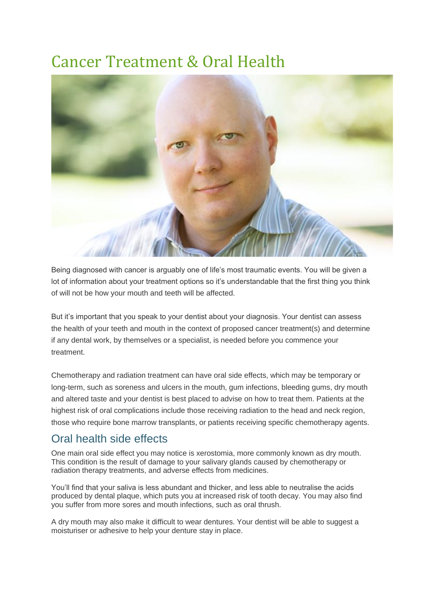## Cancer Treatment & Oral Health



Being diagnosed with cancer is arguably one of life's most traumatic events. You will be given a lot of information about your treatment options so it's understandable that the first thing you think of will not be how your mouth and teeth will be affected.

But it's important that you speak to your dentist about your diagnosis. Your dentist can assess the health of your teeth and mouth in the context of proposed cancer treatment(s) and determine if any dental work, by themselves or a specialist, is needed before you commence your treatment.

Chemotherapy and radiation treatment can have oral side effects, which may be temporary or long-term, such as soreness and ulcers in the mouth, gum infections, bleeding gums, dry mouth and altered taste and your dentist is best placed to advise on how to treat them. Patients at the highest risk of oral complications include those receiving radiation to the head and neck region, those who require bone marrow transplants, or patients receiving specific chemotherapy agents.

## Oral health side effects

One main oral side effect you may notice is xerostomia, more commonly known as dry mouth. This condition is the result of damage to your salivary glands caused by chemotherapy or radiation therapy treatments, and adverse effects from medicines.

You'll find that your saliva is less abundant and thicker, and less able to neutralise the acids produced by dental plaque, which puts you at increased risk of tooth decay. You may also find you suffer from more sores and mouth infections, such as oral thrush.

A dry mouth may also make it difficult to wear dentures. Your dentist will be able to suggest a moisturiser or adhesive to help your denture stay in place.